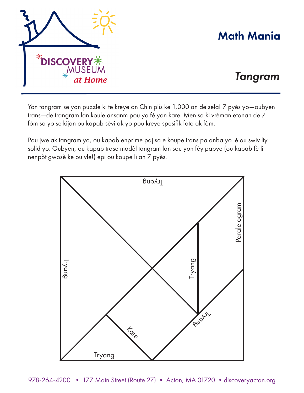

## Math Mania

## *Tangram*

Yon tangram se yon puzzle ki te kreye an Chin plis ke 1,000 an de sela! 7 pyès yo—oubyen trans—de trangram lan koule ansanm pou yo fè yon kare. Men sa ki vrèman etonan de 7 fòm sa yo se kijan ou kapab sèvi ak yo pou kreye spesifik foto ak fòm.

Pou jwe ak tangram yo, ou kapab enprime paj sa e koupe trans pa anba yo lè ou swiv liy solid yo. Oubyen, ou kapab trase modèl tangram lan sou yon fèy papye (ou kapab fè li nenpòt gwosè ke ou vle!) epi ou koupe li an 7 pyès.